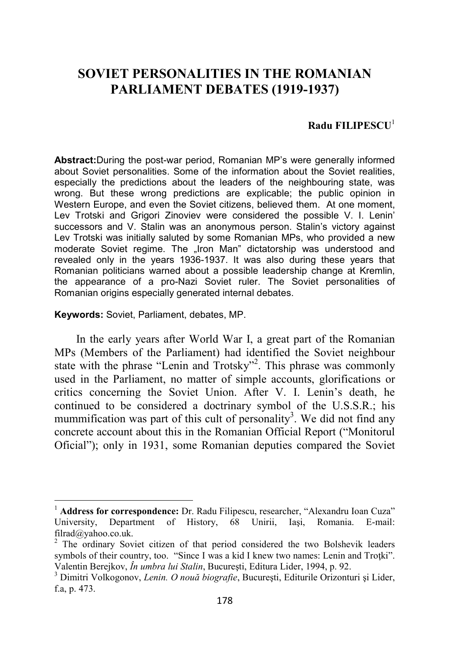## **SOVIET PERSONALITIES IN THE ROMANIAN PARLIAMENT DEBATES (1919-1937)**

## **Radu FILIPESCU**<sup>1</sup>

**Abstract:**During the post-war period, Romanian MP's were generally informed about Soviet personalities. Some of the information about the Soviet realities, especially the predictions about the leaders of the neighbouring state, was wrong. But these wrong predictions are explicable; the public opinion in Western Europe, and even the Soviet citizens, believed them. At one moment, Lev Trotski and Grigori Zinoviev were considered the possible V. I. Lenin' successors and V. Stalin was an anonymous person. Stalin's victory against Lev Trotski was initially saluted by some Romanian MPs, who provided a new moderate Soviet regime. The "Iron Man" dictatorship was understood and revealed only in the years 1936-1937. It was also during these years that Romanian politicians warned about a possible leadership change at Kremlin, the appearance of a pro-Nazi Soviet ruler. The Soviet personalities of Romanian origins especially generated internal debates.

**Keywords:** Soviet, Parliament, debates, MP.

 $\overline{a}$ 

In the early years after World War I, a great part of the Romanian MPs (Members of the Parliament) had identified the Soviet neighbour state with the phrase "Lenin and Trotsky"<sup>2</sup>. This phrase was commonly used in the Parliament, no matter of simple accounts, glorifications or critics concerning the Soviet Union. After V. I. Lenin's death, he continued to be considered a doctrinary symbol of the U.S.S.R.; his mummification was part of this cult of personality<sup>3</sup>. We did not find any concrete account about this in the Romanian Official Report ("Monitorul Oficial"); only in 1931, some Romanian deputies compared the Soviet

<sup>&</sup>lt;sup>1</sup> **Address for correspondence:** Dr. Radu Filipescu, researcher, "Alexandru Ioan Cuza"<br>University, Department of History, 68 Unirii, Iasi, Romania. E-mail: University, Department of History, 68 Unirii, Iaşi, Romania. E-mail: filrad@yahoo.co.uk.

<sup>&</sup>lt;sup>2</sup> The ordinary Soviet citizen of that period considered the two Bolshevik leaders symbols of their country, too. "Since I was a kid I knew two names: Lenin and Trotki". Valentin Berejkov, *În umbra lui Stalin*, Bucureşti, Editura Lider, 1994, p. 92.

<sup>3</sup> Dimitri Volkogonov, *Lenin. O nouă biografie*, Bucureşti, Editurile Orizonturi şi Lider, f.a, p. 473.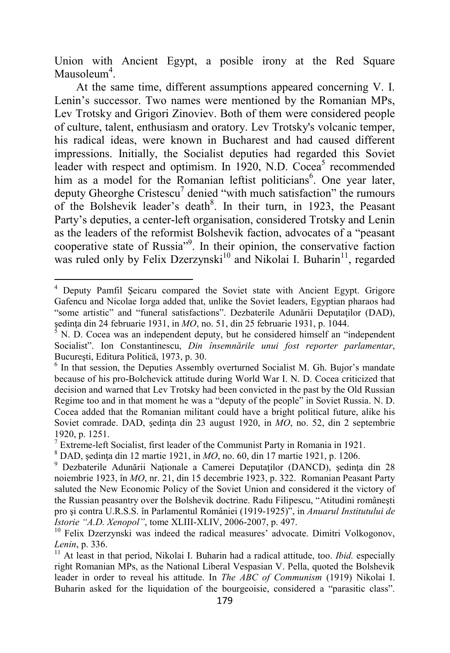Union with Ancient Egypt, a posible irony at the Red Square Mausoleum<sup>4</sup>.

At the same time, different assumptions appeared concerning V. I. Lenin's successor. Two names were mentioned by the Romanian MPs, Lev Trotsky and Grigori Zinoviev. Both of them were considered people of culture, talent, enthusiasm and oratory. Lev Trotsky's volcanic temper, his radical ideas, were known in Bucharest and had caused different impressions. Initially, the Socialist deputies had regarded this Soviet leader with respect and optimism. In 1920, N.D. Cocea<sup>5</sup> recommended him as a model for the Romanian leftist politicians<sup>6</sup>. One year later, deputy Gheorghe Cristescu<sup>7</sup> denied "with much satisfaction" the rumours of the Bolshevik leader's death<sup>8</sup>. In their turn, in 1923, the Peasant Party's deputies, a center-left organisation, considered Trotsky and Lenin as the leaders of the reformist Bolshevik faction, advocates of a "peasant cooperative state of Russia"<sup>9</sup> . In their opinion, the conservative faction was ruled only by Felix Dzerzynski<sup>10</sup> and Nikolai I. Buharin<sup>11</sup>, regarded

<sup>4</sup> Deputy Pamfil Şeicaru compared the Soviet state with Ancient Egypt. Grigore Gafencu and Nicolae Iorga added that, unlike the Soviet leaders, Egyptian pharaos had "some artistic" and "funeral satisfactions". Dezbaterile Adunării Deputaţilor (DAD), şedinţa din 24 februarie 1931, in *MO*, no. 51, din 25 februarie 1931, p. 1044.

<sup>5</sup> N. D. Cocea was an independent deputy, but he considered himself an "independent Socialist". Ion Constantinescu, *Din însemnările unui fost reporter parlamentar*, Bucureşti, Editura Politică, 1973, p. 30.

<sup>&</sup>lt;sup>6</sup> In that session, the Deputies Assembly overturned Socialist M. Gh. Bujor's mandate because of his pro-Bolchevick attitude during World War I. N. D. Cocea criticized that decision and warned that Lev Trotsky had been convicted in the past by the Old Russian Regime too and in that moment he was a "deputy of the people" in Soviet Russia. N. D. Cocea added that the Romanian militant could have a bright political future, alike his Soviet comrade. DAD, şedinţa din 23 august 1920, in *MO*, no. 52, din 2 septembrie 1920, p. 1251.

<sup>&</sup>lt;sup>7</sup> Extreme-left Socialist, first leader of the Communist Party in Romania in 1921.

<sup>8</sup> DAD, şedinţa din 12 martie 1921, in *MO*, no. 60, din 17 martie 1921, p. 1206.

<sup>9</sup> Dezbaterile Adunării Naţionale a Camerei Deputaţilor (DANCD), şedinţa din 28 noiembrie 1923, în *MO*, nr. 21, din 15 decembrie 1923, p. 322. Romanian Peasant Party saluted the New Economic Policy of the Soviet Union and considered it the victory of the Russian peasantry over the Bolshevik doctrine. Radu Filipescu, "Atitudini româneşti pro şi contra U.R.S.S. în Parlamentul României (1919-1925)", in *Anuarul Institutului de Istorie "A.D. Xenopol"*, tome XLIII-XLIV, 2006-2007, p. 497.

<sup>&</sup>lt;sup>10</sup> Felix Dzerzynski was indeed the radical measures' advocate. Dimitri Volkogonov, *Lenin*, p. 336.

<sup>&</sup>lt;sup>11</sup> At least in that period, Nikolai I. Buharin had a radical attitude, too. *Ibid.* especially right Romanian MPs, as the National Liberal Vespasian V. Pella, quoted the Bolshevik leader in order to reveal his attitude. In *The ABC of Communism* (1919) Nikolai I. Buharin asked for the liquidation of the bourgeoisie, considered a "parasitic class".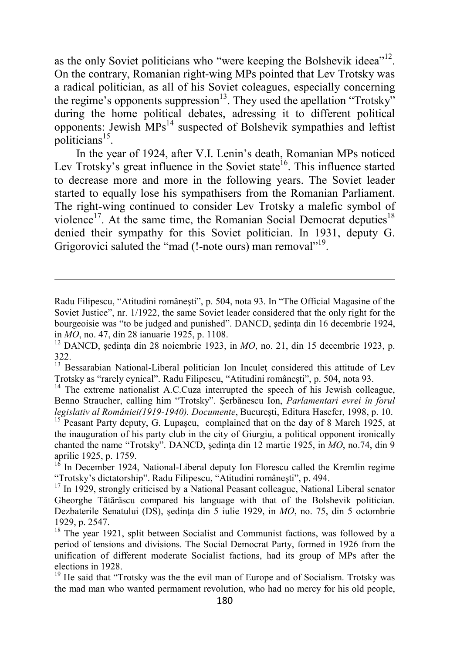as the only Soviet politicians who "were keeping the Bolshevik ideea"<sup>12</sup>. On the contrary, Romanian right-wing MPs pointed that Lev Trotsky was a radical politician, as all of his Soviet coleagues, especially concerning the regime's opponents suppression<sup>13</sup>. They used the apellation "Trotsky" during the home political debates, adressing it to different political opponents: Jewish  $MPs<sup>14</sup>$  suspected of Bolshevik sympathies and leftist politicians<sup>15</sup>.

In the year of 1924, after V.I. Lenin's death, Romanian MPs noticed Lev Trotsky's great influence in the Soviet state<sup>16</sup>. This influence started to decrease more and more in the following years. The Soviet leader started to equally lose his sympathisers from the Romanian Parliament. The right-wing continued to consider Lev Trotsky a malefic symbol of violence<sup>17</sup>. At the same time, the Romanian Social Democrat deputies<sup>18</sup> denied their sympathy for this Soviet politician. In 1931, deputy G. Grigorovici saluted the "mad (!-note ours) man removal"<sup>19</sup>.

l

<sup>13</sup> Bessarabian National-Liberal politician Ion Inculet considered this attitude of Lev Trotsky as "rarely cynical". Radu Filipescu, "Atitudini româneşti", p. 504, nota 93.

<sup>14</sup> The extreme nationalist A.C.Cuza interrupted the speech of his Jewish colleague, Benno Straucher, calling him "Trotsky". Şerbănescu Ion, *Parlamentari evrei în forul legislativ al României(1919-1940). Documente*, Bucureşti, Editura Hasefer, 1998, p. 10.

Radu Filipescu, "Atitudini româneşti", p. 504, nota 93. In "The Official Magasine of the Soviet Justice", nr. 1/1922, the same Soviet leader considered that the only right for the bourgeoisie was "to be judged and punished". DANCD, şedința din 16 decembrie 1924, in *MO*, no. 47, din 28 ianuarie 1925, p. 1108.

<sup>&</sup>lt;sup>12</sup> DANCD, sedinta din 28 noiembrie 1923, in  $MO$ , no. 21, din 15 decembrie 1923, p. 322.

<sup>&</sup>lt;sup>15</sup> Peasant Party deputy, G. Lupaşcu, complained that on the day of 8 March 1925, at the inauguration of his party club in the city of Giurgiu, a political opponent ironically chanted the name "Trotsky". DANCD, ședința din 12 martie 1925, in MO, no.74, din 9 aprilie 1925, p. 1759.

 $16$  In December 1924, National-Liberal deputy Ion Florescu called the Kremlin regime "Trotsky's dictatorship". Radu Filipescu, "Atitudini româneşti", p. 494.

 $17$  In 1929, strongly criticised by a National Peasant colleague, National Liberal senator Gheorghe Tătărăscu compared his language with that of the Bolshevik politician. Dezbaterile Senatului (DS), sedinta din 5 iulie 1929, in *MO*, no. 75, din 5 octombrie 1929, p. 2547.

<sup>&</sup>lt;sup>18</sup> The year 1921, split between Socialist and Communist factions, was followed by a period of tensions and divisions. The Social Democrat Party, formed in 1926 from the unification of different moderate Socialist factions, had its group of MPs after the elections in 1928.

<sup>&</sup>lt;sup>19</sup> He said that "Trotsky was the the evil man of Europe and of Socialism. Trotsky was the mad man who wanted permament revolution, who had no mercy for his old people,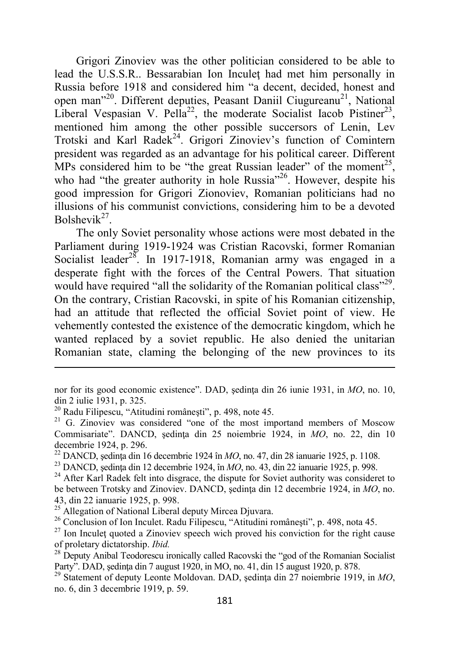Grigori Zinoviev was the other politician considered to be able to lead the U.S.S.R.. Bessarabian Ion Inculeţ had met him personally in Russia before 1918 and considered him "a decent, decided, honest and open man"<sup>20</sup>. Different deputies, Peasant Daniil Ciugureanu<sup>21</sup>, National Liberal Vespasian V. Pella<sup>22</sup>, the moderate Socialist Iacob Pistiner<sup>23</sup>, mentioned him among the other possible succersors of Lenin, Lev Trotski and Karl Radek<sup>24</sup>. Grigori Zinoviev's function of Comintern president was regarded as an advantage for his political career. Different MPs considered him to be "the great Russian leader" of the moment<sup>25</sup>, who had "the greater authority in hole Russia"<sup>26</sup>. However, despite his good impression for Grigori Zionoviev, Romanian politicians had no illusions of his communist convictions, considering him to be a devoted Bolshevik<sup>27</sup>.

The only Soviet personality whose actions were most debated in the Parliament during 1919-1924 was Cristian Racovski, former Romanian Socialist leader<sup>28</sup>. In 1917-1918, Romanian army was engaged in a desperate fight with the forces of the Central Powers. That situation would have required "all the solidarity of the Romanian political class"<sup>29</sup>. On the contrary, Cristian Racovski, in spite of his Romanian citizenship, had an attitude that reflected the official Soviet point of view. He vehemently contested the existence of the democratic kingdom, which he wanted replaced by a soviet republic. He also denied the unitarian Romanian state, claming the belonging of the new provinces to its

nor for its good economic existence". DAD, şedinţa din 26 iunie 1931, in *MO*, no. 10, din 2 iulie 1931, p. 325.

<sup>20</sup> Radu Filipescu, "Atitudini româneşti", p. 498, note 45.

 $21$  G. Zinoviev was considered "one of the most importand members of Moscow Commisariate". DANCD, sedinta din 25 noiembrie 1924, in *MO*, no. 22, din 10 decembrie 1924, p. 296.

<sup>22</sup> DANCD, şedinţa din 16 decembrie 1924 în *MO*, no. 47, din 28 ianuarie 1925, p. 1108.

<sup>23</sup> DANCD, şedinţa din 12 decembrie 1924, în *MO*, no. 43, din 22 ianuarie 1925, p. 998.

 $24$  After Karl Radek felt into disgrace, the dispute for Soviet authority was consideret to be between Trotsky and Zinoviev. DANCD, şedinţa din 12 decembrie 1924, in *MO*, no. 43, din 22 ianuarie 1925, p. 998.

<sup>&</sup>lt;sup>25</sup> Allegation of National Liberal deputy Mircea Djuvara.

<sup>26</sup> Conclusion of Ion Inculet. Radu Filipescu, "Atitudini româneşti", p. 498, nota 45.

<sup>&</sup>lt;sup>27</sup> Ion Inculet quoted a Zinoviev speech wich proved his conviction for the right cause of proletary dictatorship. *Ibid.*

<sup>&</sup>lt;sup>28</sup> Deputy Anibal Teodorescu ironically called Racovski the "god of the Romanian Socialist" Party". DAD, şedinţa din 7 august 1920, in MO, no. 41, din 15 august 1920, p. 878.

<sup>29</sup> Statement of deputy Leonte Moldovan. DAD, şedinţa din 27 noiembrie 1919, in *MO*, no. 6, din 3 decembrie 1919, p. 59.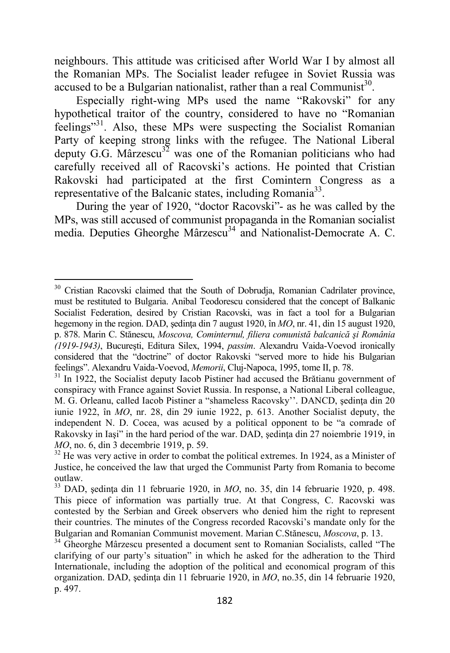neighbours. This attitude was criticised after World War I by almost all the Romanian MPs. The Socialist leader refugee in Soviet Russia was accused to be a Bulgarian nationalist, rather than a real Communist<sup>30</sup>.

Especially right-wing MPs used the name "Rakovski" for any hypothetical traitor of the country, considered to have no "Romanian feelings"<sup>31</sup>. Also, these MPs were suspecting the Socialist Romanian Party of keeping strong links with the refugee. The National Liberal deputy G.G. Mârzescu<sup>32</sup> was one of the Romanian politicians who had carefully received all of Racovski's actions. He pointed that Cristian Rakovski had participated at the first Comintern Congress as a representative of the Balcanic states, including Romania<sup>33</sup>.

During the year of 1920, "doctor Racovski"- as he was called by the MPs, was still accused of communist propaganda in the Romanian socialist media. Deputies Gheorghe Mârzescu<sup>34</sup> and Nationalist-Democrate A. C.

<sup>&</sup>lt;sup>30</sup> Cristian Racovski claimed that the South of Dobrudja, Romanian Cadrilater province, must be restituted to Bulgaria. Anibal Teodorescu considered that the concept of Balkanic Socialist Federation, desired by Cristian Racovski, was in fact a tool for a Bulgarian hegemony in the region. DAD, şedinţa din 7 august 1920, în *MO*, nr. 41, din 15 august 1920, p. 878. Marin C. Stănescu, *Moscova, Cominternul, filiera comunistă balcanică şi România (1919-1943)*, Bucureşti, Editura Silex, 1994, *passim*. Alexandru Vaida-Voevod ironically considered that the "doctrine" of doctor Rakovski "served more to hide his Bulgarian feelings". Alexandru Vaida-Voevod, *Memorii*, Cluj-Napoca, 1995, tome II, p. 78.

<sup>&</sup>lt;sup>31</sup> In 1922, the Socialist deputy Iacob Pistiner had accused the Brătianu government of conspiracy with France against Soviet Russia. In response, a National Liberal colleague, M. G. Orleanu, called Iacob Pistiner a "shameless Racovsky''. DANCD, şedinţa din 20 iunie 1922, în *MO*, nr. 28, din 29 iunie 1922, p. 613. Another Socialist deputy, the independent N. D. Cocea, was acused by a political opponent to be "a comrade of Rakovsky in Iaşi" in the hard period of the war. DAD, şedința din 27 noiembrie 1919, in *MO*, no. 6, din 3 decembrie 1919, p. 59.

 $32$  He was very active in order to combat the political extremes. In 1924, as a Minister of Justice, he conceived the law that urged the Communist Party from Romania to become outlaw.

<sup>&</sup>lt;sup>33</sup> DAD, sedinta din 11 februarie 1920, in *MO*, no. 35, din 14 februarie 1920, p. 498. This piece of information was partially true. At that Congress, C. Racovski was contested by the Serbian and Greek observers who denied him the right to represent their countries. The minutes of the Congress recorded Racovski's mandate only for the Bulgarian and Romanian Communist movement. Marian C.Stănescu, *Moscova*, p. 13.

<sup>&</sup>lt;sup>34</sup> Gheorghe Mârzescu presented a document sent to Romanian Socialists, called "The clarifying of our party's situation" in which he asked for the adheration to the Third Internationale, including the adoption of the political and economical program of this organization. DAD, sedinta din 11 februarie 1920, in *MO*, no.35, din 14 februarie 1920, p. 497.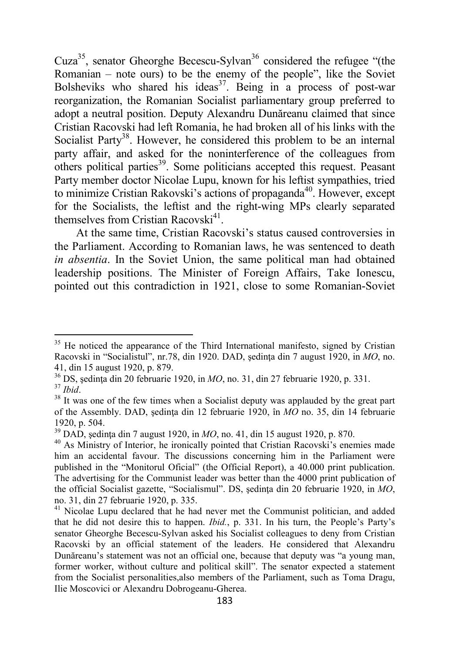Cuza<sup>35</sup>, senator Gheorghe Becescu-Sylvan<sup>36</sup> considered the refugee "(the Romanian – note ours) to be the enemy of the people", like the Soviet Bolsheviks who shared his ideas<sup>37</sup>. Being in a process of post-war reorganization, the Romanian Socialist parliamentary group preferred to adopt a neutral position. Deputy Alexandru Dunăreanu claimed that since Cristian Racovski had left Romania, he had broken all of his links with the Socialist Party<sup>38</sup>. However, he considered this problem to be an internal party affair, and asked for the noninterference of the colleagues from others political parties<sup>39</sup>. Some politicians accepted this request. Peasant Party member doctor Nicolae Lupu, known for his leftist sympathies, tried to minimize Cristian Rakovski's actions of propaganda<sup>40</sup>. However, except for the Socialists, the leftist and the right-wing MPs clearly separated themselves from Cristian Racovski $41$ .

At the same time, Cristian Racovski's status caused controversies in the Parliament. According to Romanian laws, he was sentenced to death *in absentia*. In the Soviet Union, the same political man had obtained leadership positions. The Minister of Foreign Affairs, Take Ionescu, pointed out this contradiction in 1921, close to some Romanian-Soviet

<sup>&</sup>lt;sup>35</sup> He noticed the appearance of the Third International manifesto, signed by Cristian Racovski in "Socialistul", nr.78, din 1920. DAD, şedinţa din 7 august 1920, in *MO*, no. 41, din 15 august 1920, p. 879.

<sup>&</sup>lt;sup>36</sup> DS, sedinta din 20 februarie 1920, in *MO*, no. 31, din 27 februarie 1920, p. 331. <sup>37</sup> *Ibid*.

<sup>&</sup>lt;sup>38</sup> It was one of the few times when a Socialist deputy was applauded by the great part of the Assembly. DAD, şedinţa din 12 februarie 1920, în *MO* no. 35, din 14 februarie 1920, p. 504.

<sup>39</sup> DAD, şedinţa din 7 august 1920, in *MO*, no. 41, din 15 august 1920, p. 870.

<sup>&</sup>lt;sup>40</sup> As Ministry of Interior, he ironically pointed that Cristian Racovski's enemies made him an accidental favour. The discussions concerning him in the Parliament were published in the "Monitorul Oficial" (the Official Report), a 40.000 print publication. The advertising for the Communist leader was better than the 4000 print publication of the official Socialist gazette, "Socialismul". DS, sedinta din 20 februarie 1920, in *MO*, no. 31, din 27 februarie 1920, p. 335.

 $41$  Nicolae Lupu declared that he had never met the Communist politician, and added that he did not desire this to happen. *Ibid.*, p. 331. In his turn, the People's Party's senator Gheorghe Becescu-Sylvan asked his Socialist colleagues to deny from Cristian Racovski by an official statement of the leaders. He considered that Alexandru Dunăreanu's statement was not an official one, because that deputy was "a young man, former worker, without culture and political skill". The senator expected a statement from the Socialist personalities,also members of the Parliament, such as Toma Dragu, Ilie Moscovici or Alexandru Dobrogeanu-Gherea.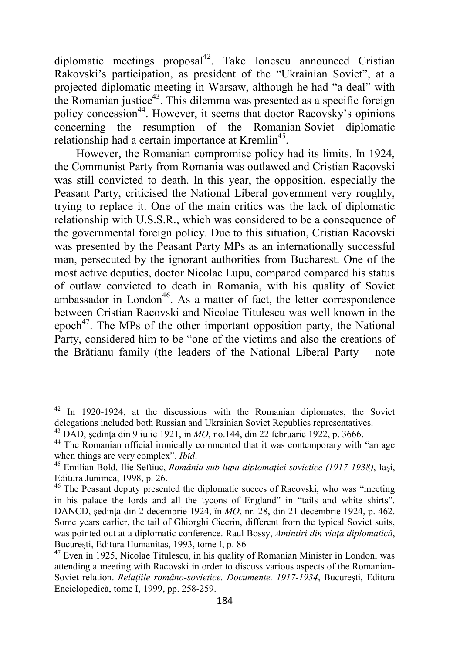diplomatic meetings proposal<sup>42</sup>. Take Ionescu announced Cristian Rakovski's participation, as president of the "Ukrainian Soviet", at a projected diplomatic meeting in Warsaw, although he had "a deal" with the Romanian justice $43$ . This dilemma was presented as a specific foreign policy concession<sup>44</sup>. However, it seems that doctor Racovsky's opinions concerning the resumption of the Romanian-Soviet diplomatic relationship had a certain importance at Kremlin<sup>45</sup>.

However, the Romanian compromise policy had its limits. In 1924, the Communist Party from Romania was outlawed and Cristian Racovski was still convicted to death. In this year, the opposition, especially the Peasant Party, criticised the National Liberal government very roughly, trying to replace it. One of the main critics was the lack of diplomatic relationship with U.S.S.R., which was considered to be a consequence of the governmental foreign policy. Due to this situation, Cristian Racovski was presented by the Peasant Party MPs as an internationally successful man, persecuted by the ignorant authorities from Bucharest. One of the most active deputies, doctor Nicolae Lupu, compared compared his status of outlaw convicted to death in Romania, with his quality of Soviet ambassador in London $46$ . As a matter of fact, the letter correspondence between Cristian Racovski and Nicolae Titulescu was well known in the epoch<sup>47</sup>. The MPs of the other important opposition party, the National Party, considered him to be "one of the victims and also the creations of the Brătianu family (the leaders of the National Liberal Party – note

 $42$  In 1920-1924, at the discussions with the Romanian diplomates, the Soviet delegations included both Russian and Ukrainian Soviet Republics representatives.

<sup>43</sup> DAD, şedinţa din 9 iulie 1921, in *MO*, no.144, din 22 februarie 1922, p. 3666.

<sup>&</sup>lt;sup>44</sup> The Romanian official ironically commented that it was contemporary with "an age when things are very complex". *Ibid*.

<sup>45</sup> Emilian Bold, Ilie Seftiuc, *România sub lupa diplomaţiei sovietice (1917-1938)*, Iaşi, Editura Junimea, 1998, p. 26.

<sup>&</sup>lt;sup>46</sup> The Peasant deputy presented the diplomatic succes of Racovski, who was "meeting in his palace the lords and all the tycons of England" in "tails and white shirts". DANCD, sedinta din 2 decembrie 1924, în *MO*, nr. 28, din 21 decembrie 1924, p. 462. Some years earlier, the tail of Ghiorghi Cicerin, different from the typical Soviet suits, was pointed out at a diplomatic conference. Raul Bossy, *Amintiri din viaţa diplomatică*, Bucureşti, Editura Humanitas, 1993, tome I, p. 86

 $47$  Even in 1925, Nicolae Titulescu, in his quality of Romanian Minister in London, was attending a meeting with Racovski in order to discuss various aspects of the Romanian-Soviet relation. *Relaţiile româno-sovietice. Documente. 1917-1934*, Bucureşti, Editura Enciclopedică, tome I, 1999, pp. 258-259.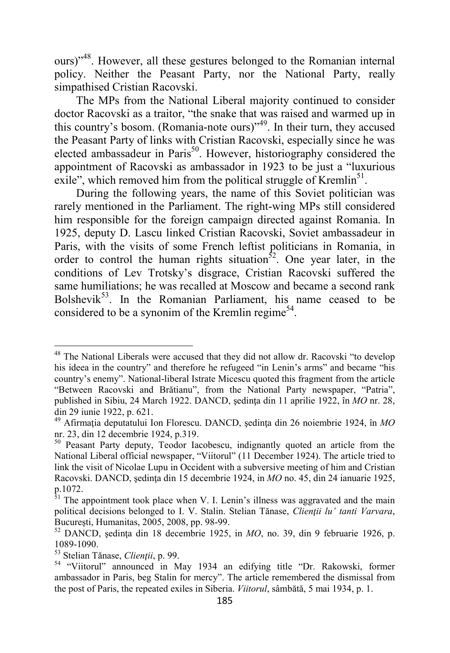ours)"<sup>48</sup>. However, all these gestures belonged to the Romanian internal policy. Neither the Peasant Party, nor the National Party, really simpathised Cristian Racovski.

The MPs from the National Liberal majority continued to consider doctor Racovski as a traitor, "the snake that was raised and warmed up in this country's bosom. (Romania-note ours)"<sup>49</sup>. In their turn, they accused the Peasant Party of links with Cristian Racovski, especially since he was elected ambassadeur in Paris<sup>50</sup>. However, historiography considered the appointment of Racovski as ambassador in 1923 to be just a "luxurious exile", which removed him from the political struggle of Kremlin<sup>51</sup>.

During the following years, the name of this Soviet politician was rarely mentioned in the Parliament. The right-wing MPs still considered him responsible for the foreign campaign directed against Romania. In 1925, deputy D. Lascu linked Cristian Racovski, Soviet ambassadeur in Paris, with the visits of some French leftist politicians in Romania, in order to control the human rights situation<sup>52</sup>. One year later, in the conditions of Lev Trotsky's disgrace, Cristian Racovski suffered the same humiliations; he was recalled at Moscow and became a second rank Bolshevik<sup>53</sup>. In the Romanian Parliament, his name ceased to be considered to be a synonim of the Kremlin regime<sup>54</sup>.

<sup>&</sup>lt;sup>48</sup> The National Liberals were accused that they did not allow dr. Racovski "to develop his ideea in the country" and therefore he refugeed "in Lenin's arms" and became "his country's enemy". National-liberal Istrate Micescu quoted this fragment from the article "Between Racovski and Brătianu", from the National Party newspaper, "Patria", published in Sibiu, 24 March 1922. DANCD, şedinţa din 11 aprilie 1922, în *MO* nr. 28, din 29 iunie 1922, p. 621.

<sup>&</sup>lt;sup>49</sup> Afirmatia deputatului Ion Florescu. DANCD, ședința din 26 noiembrie 1924, în *MO* nr. 23, din 12 decembrie 1924, p.319.

<sup>&</sup>lt;sup>50</sup> Peasant Party deputy, Teodor Iacobescu, indignantly quoted an article from the National Liberal official newspaper, "Viitorul" (11 December 1924). The article tried to link the visit of Nicolae Lupu in Occident with a subversive meeting of him and Cristian Racovski. DANCD, sedinta din 15 decembrie 1924, in *MO* no. 45, din 24 ianuarie 1925, p.1072.

<sup>&</sup>lt;sup>51</sup> The appointment took place when V. I. Lenin's illness was aggravated and the main political decisions belonged to I. V. Stalin. Stelian Tănase, *Clientii lu' tanti Varvara*, Bucureşti, Humanitas, 2005, 2008, pp. 98-99.

<sup>52</sup> DANCD, şedinţa din 18 decembrie 1925, in *MO*, no. 39, din 9 februarie 1926, p. 1089-1090.

<sup>53</sup> Stelian Tănase, *Clienţii*, p. 99.

<sup>54</sup> "Viitorul" announced in May 1934 an edifying title "Dr. Rakowski, former ambassador in Paris, beg Stalin for mercy". The article remembered the dismissal from the post of Paris, the repeated exiles in Siberia. *Viitorul*, sâmbătă, 5 mai 1934, p. 1.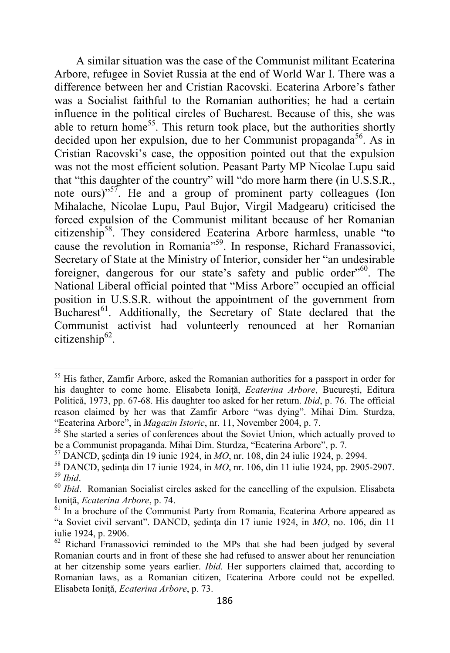A similar situation was the case of the Communist militant Ecaterina Arbore, refugee in Soviet Russia at the end of World War I. There was a difference between her and Cristian Racovski. Ecaterina Arbore's father was a Socialist faithful to the Romanian authorities; he had a certain influence in the political circles of Bucharest. Because of this, she was able to return home<sup>55</sup>. This return took place, but the authorities shortly decided upon her expulsion, due to her Communist propaganda<sup>56</sup>. As in Cristian Racovski's case, the opposition pointed out that the expulsion was not the most efficient solution. Peasant Party MP Nicolae Lupu said that "this daughter of the country" will "do more harm there (in U.S.S.R., note ours)"<sup>57</sup>. He and a group of prominent party colleagues (Ion Mihalache, Nicolae Lupu, Paul Bujor, Virgil Madgearu) criticised the forced expulsion of the Communist militant because of her Romanian citizenship<sup>58</sup>. They considered Ecaterina Arbore harmless, unable "to cause the revolution in Romania"<sup>59</sup>. In response, Richard Franassovici, Secretary of State at the Ministry of Interior, consider her "an undesirable foreigner, dangerous for our state's safety and public order<sup> $60$ </sup>. The National Liberal official pointed that "Miss Arbore" occupied an official position in U.S.S.R. without the appointment of the government from Bucharest<sup>61</sup>. Additionally, the Secretary of State declared that the Communist activist had volunteerly renounced at her Romanian citizenship<sup>62</sup>.

<sup>&</sup>lt;sup>55</sup> His father, Zamfir Arbore, asked the Romanian authorities for a passport in order for his daughter to come home. Elisabeta Ioniţă, *Ecaterina Arbore*, Bucureşti, Editura Politică, 1973, pp. 67-68. His daughter too asked for her return. *Ibid*, p. 76. The official reason claimed by her was that Zamfir Arbore "was dying". Mihai Dim. Sturdza, "Ecaterina Arbore", in *Magazin Istoric*, nr. 11, November 2004, p. 7.

<sup>&</sup>lt;sup>56</sup> She started a series of conferences about the Soviet Union, which actually proved to be a Communist propaganda. Mihai Dim. Sturdza, "Ecaterina Arbore", p. 7.

<sup>57</sup> DANCD, şedinţa din 19 iunie 1924, in *MO*, nr. 108, din 24 iulie 1924, p. 2994.

<sup>58</sup> DANCD, şedinţa din 17 iunie 1924, in *MO*, nr. 106, din 11 iulie 1924, pp. 2905-2907. <sup>59</sup> *Ibid*.

<sup>60</sup> *Ibid*. Romanian Socialist circles asked for the cancelling of the expulsion. Elisabeta Ioniţă, *Ecaterina Arbore*, p. 74.

 $<sup>61</sup>$  In a brochure of the Communist Party from Romania, Ecaterina Arbore appeared as</sup> "a Soviet civil servant". DANCD, şedinţa din 17 iunie 1924, in *MO*, no. 106, din 11 iulie 1924, p. 2906.

<sup>&</sup>lt;sup>62</sup> Richard Franassovici reminded to the MPs that she had been judged by several Romanian courts and in front of these she had refused to answer about her renunciation at her citzenship some years earlier. *Ibid.* Her supporters claimed that, according to Romanian laws, as a Romanian citizen, Ecaterina Arbore could not be expelled. Elisabeta Ioniţă, *Ecaterina Arbore*, p. 73.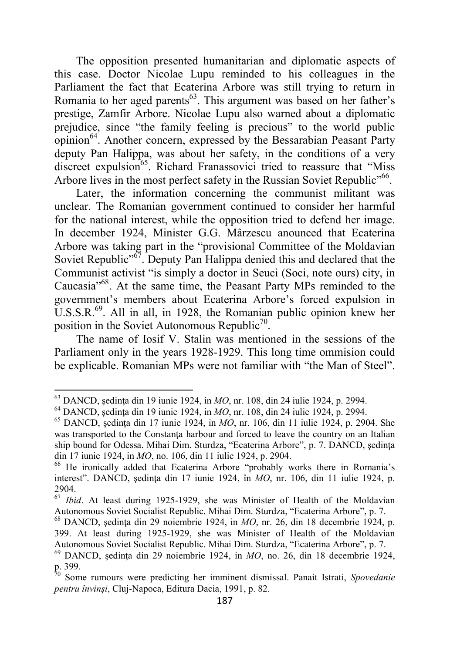The opposition presented humanitarian and diplomatic aspects of this case. Doctor Nicolae Lupu reminded to his colleagues in the Parliament the fact that Ecaterina Arbore was still trying to return in Romania to her aged parents<sup>63</sup>. This argument was based on her father's prestige, Zamfir Arbore. Nicolae Lupu also warned about a diplomatic prejudice, since "the family feeling is precious" to the world public opinion<sup>64</sup>. Another concern, expressed by the Bessarabian Peasant Party deputy Pan Halippa, was about her safety, in the conditions of a very discreet expulsion<sup>65</sup>. Richard Franassovici tried to reassure that "Miss Arbore lives in the most perfect safety in the Russian Soviet Republic<sup>"66</sup>.

Later, the information concerning the communist militant was unclear. The Romanian government continued to consider her harmful for the national interest, while the opposition tried to defend her image. In december 1924, Minister G.G. Mârzescu anounced that Ecaterina Arbore was taking part in the "provisional Committee of the Moldavian Soviet Republic<sup>"67</sup>. Deputy Pan Halippa denied this and declared that the Communist activist "is simply a doctor in Seuci (Soci, note ours) city, in Caucasia"<sup>68</sup>. At the same time, the Peasant Party MPs reminded to the government's members about Ecaterina Arbore's forced expulsion in  $\overline{U}$ .S.S.R.<sup>69</sup>. All in all, in 1928, the Romanian public opinion knew her position in the Soviet Autonomous Republic<sup>70</sup>.

The name of Iosif V. Stalin was mentioned in the sessions of the Parliament only in the years 1928-1929. This long time ommision could be explicable. Romanian MPs were not familiar with "the Man of Steel".

<sup>63</sup> DANCD, şedinţa din 19 iunie 1924, in *MO*, nr. 108, din 24 iulie 1924, p. 2994.

<sup>64</sup> DANCD, şedinţa din 19 iunie 1924, in *MO*, nr. 108, din 24 iulie 1924, p. 2994.

<sup>65</sup> DANCD, şedinţa din 17 iunie 1924, in *MO*, nr. 106, din 11 iulie 1924, p. 2904. She was transported to the Constanta harbour and forced to leave the country on an Italian ship bound for Odessa. Mihai Dim. Sturdza, "Ecaterina Arbore", p. 7. DANCD, sedinta din 17 iunie 1924, in *MO*, no. 106, din 11 iulie 1924, p. 2904.

<sup>66</sup> He ironically added that Ecaterina Arbore "probably works there in Romania's interest". DANCD, sedinta din 17 iunie 1924, în *MO*, nr. 106, din 11 iulie 1924, p. 2904.

<sup>67</sup> *Ibid*. At least during 1925-1929, she was Minister of Health of the Moldavian Autonomous Soviet Socialist Republic. Mihai Dim. Sturdza, "Ecaterina Arbore", p. 7.

 $^{68}$  DANCD, sedinta din 29 noiembrie 1924, in *MO*, nr. 26, din 18 decembrie 1924, p. 399. At least during 1925-1929, she was Minister of Health of the Moldavian Autonomous Soviet Socialist Republic. Mihai Dim. Sturdza, "Ecaterina Arbore", p. 7.

<sup>&</sup>lt;sup>69</sup> DANCD, sedinta din 29 noiembrie 1924, in *MO*, no. 26, din 18 decembrie 1924, p. 399.

<sup>70</sup> Some rumours were predicting her imminent dismissal. Panait Istrati, *Spovedanie pentru învinşi*, Cluj-Napoca, Editura Dacia, 1991, p. 82.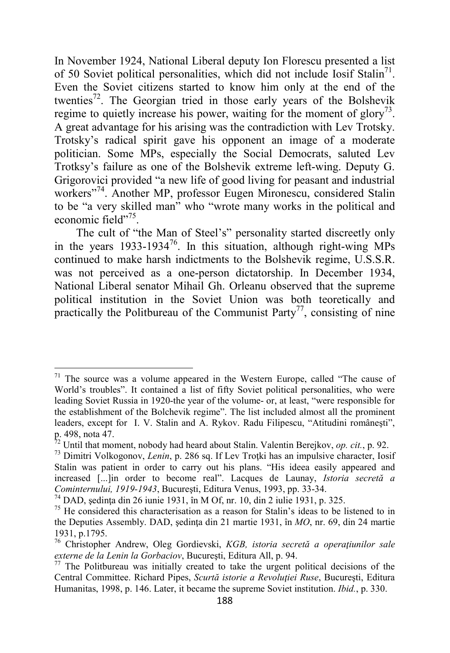In November 1924, National Liberal deputy Ion Florescu presented a list of 50 Soviet political personalities, which did not include Iosif Stalin<sup>71</sup>. Even the Soviet citizens started to know him only at the end of the twenties<sup>72</sup>. The Georgian tried in those early years of the Bolshevik regime to quietly increase his power, waiting for the moment of glory<sup>73</sup>. A great advantage for his arising was the contradiction with Lev Trotsky. Trotsky's radical spirit gave his opponent an image of a moderate politician. Some MPs, especially the Social Democrats, saluted Lev Trotksy's failure as one of the Bolshevik extreme left-wing. Deputy G. Grigorovici provided "a new life of good living for peasant and industrial workers"<sup>74</sup>. Another MP, professor Eugen Mironescu, considered Stalin to be "a very skilled man" who "wrote many works in the political and economic field"<sup>75</sup>.

The cult of "the Man of Steel's" personality started discreetly only in the years  $1933-1934^{76}$ . In this situation, although right-wing MPs continued to make harsh indictments to the Bolshevik regime, U.S.S.R. was not perceived as a one-person dictatorship. In December 1934, National Liberal senator Mihail Gh. Orleanu observed that the supreme political institution in the Soviet Union was both teoretically and practically the Politbureau of the Communist Party<sup>77</sup>, consisting of nine

 $71$  The source was a volume appeared in the Western Europe, called "The cause of World's troubles". It contained a list of fifty Soviet political personalities, who were leading Soviet Russia in 1920-the year of the volume- or, at least, "were responsible for the establishment of the Bolchevik regime". The list included almost all the prominent leaders, except for I. V. Stalin and A. Rykov. Radu Filipescu, "Atitudini româneşti", p. 498, nota 47.

<sup>72</sup> Until that moment, nobody had heard about Stalin. Valentin Berejkov, *op. cit.*, p. 92.

<sup>73</sup> Dimitri Volkogonov, *Lenin*, p. 286 sq. If Lev Troţki has an impulsive character, Iosif Stalin was patient in order to carry out his plans. "His ideea easily appeared and increased [...]in order to become real". Lacques de Launay, *Istoria secretă a Cominternului, 1919-1943*, Bucureşti, Editura Venus, 1993, pp. 33-34.

 $^{74}$  DAD, sedinta din 26 iunie 1931, în M Of, nr. 10, din 2 iulie 1931, p. 325.

 $75$  He considered this characterisation as a reason for Stalin's ideas to be listened to in the Deputies Assembly. DAD, sedinta din 21 martie 1931, în *MO*, nr. 69, din 24 martie 1931, p.1795.

<sup>76</sup> Christopher Andrew, Oleg Gordievski, *KGB, istoria secretă a operaţiunilor sale externe de la Lenin la Gorbaciov*, Bucureşti, Editura All, p. 94.

 $77$  The Politbureau was initially created to take the urgent political decisions of the Central Committee. Richard Pipes, *Scurtă istorie a Revoluției Ruse*, București, Editura Humanitas, 1998, p. 146. Later, it became the supreme Soviet institution. *Ibid.*, p. 330.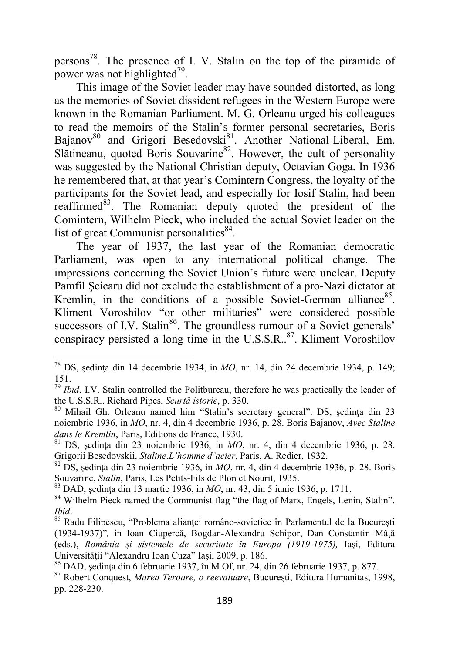persons<sup>78</sup>. The presence of I. V. Stalin on the top of the piramide of power was not highlighted $^{79}$ .

This image of the Soviet leader may have sounded distorted, as long as the memories of Soviet dissident refugees in the Western Europe were known in the Romanian Parliament. M. G. Orleanu urged his colleagues to read the memoirs of the Stalin's former personal secretaries, Boris Bajanov<sup>80</sup> and Grigori Besedovski<sup>81</sup>. Another National-Liberal, Em. Slătineanu, quoted Boris Souvarine<sup>82</sup>. However, the cult of personality was suggested by the National Christian deputy, Octavian Goga. In 1936 he remembered that, at that year's Comintern Congress, the loyalty of the participants for the Soviet lead, and especially for Iosif Stalin, had been reaffirmed<sup>83</sup>. The Romanian deputy quoted the president of the Comintern, Wilhelm Pieck, who included the actual Soviet leader on the list of great Communist personalities<sup>84</sup>.

The year of 1937, the last year of the Romanian democratic Parliament, was open to any international political change. The impressions concerning the Soviet Union's future were unclear. Deputy Pamfil Şeicaru did not exclude the establishment of a pro-Nazi dictator at Kremlin, in the conditions of a possible Soviet-German alliance<sup>85</sup>. Kliment Voroshilov "or other militaries" were considered possible successors of I.V. Stalin<sup>86</sup>. The groundless rumour of a Soviet generals' conspiracy persisted a long time in the U.S.S.R. $^{87}$ . Kliment Voroshilov

 $\overline{\phantom{0}}$ 

<sup>83</sup> DAD, şedinţa din 13 martie 1936, in *MO*, nr. 43, din 5 iunie 1936, p. 1711.

<sup>&</sup>lt;sup>78</sup> DS, ședința din 14 decembrie 1934, in  $MO$ , nr. 14, din 24 decembrie 1934, p. 149; 151.

<sup>79</sup> *Ibid*. I.V. Stalin controlled the Politbureau, therefore he was practically the leader of the U.S.S.R.. Richard Pipes, *Scurtă istorie*, p. 330.

<sup>80</sup> Mihail Gh. Orleanu named him "Stalin's secretary general". DS, şedinţa din 23 noiembrie 1936, in *MO*, nr. 4, din 4 decembrie 1936, p. 28. Boris Bajanov, *Avec Staline dans le Kremlin*, Paris, Editions de France, 1930.

 $81$  DS, sedinta din 23 noiembrie 1936, in  $MO$ , nr. 4, din 4 decembrie 1936, p. 28. Grigorii Besedovskii, *Staline*.*L'homme d'acier*, Paris, A. Redier, 1932.

<sup>82</sup> DS, şedinţa din 23 noiembrie 1936, in *MO*, nr. 4, din 4 decembrie 1936, p. 28. Boris Souvarine, *Stalin*, Paris, Les Petits-Fils de Plon et Nourit, 1935.

<sup>&</sup>lt;sup>84</sup> Wilhelm Pieck named the Communist flag "the flag of Marx, Engels, Lenin, Stalin". *Ibid*.

<sup>&</sup>lt;sup>85</sup> Radu Filipescu, "Problema alianței româno-sovietice în Parlamentul de la București (1934-1937)"*,* in Ioan Ciupercă, Bogdan-Alexandru Schipor, Dan Constantin Mâţă (eds.), *România şi sistemele de securitate în Europa (1919-1975),* Iaşi, Editura Universităţii "Alexandru Ioan Cuza" Iaşi, 2009, p. 186.

<sup>86</sup> DAD, şedinţa din 6 februarie 1937, în M Of, nr. 24, din 26 februarie 1937, p. 877.

<sup>87</sup> Robert Conquest, *Marea Teroare, o reevaluare*, Bucureşti, Editura Humanitas, 1998, pp. 228-230.